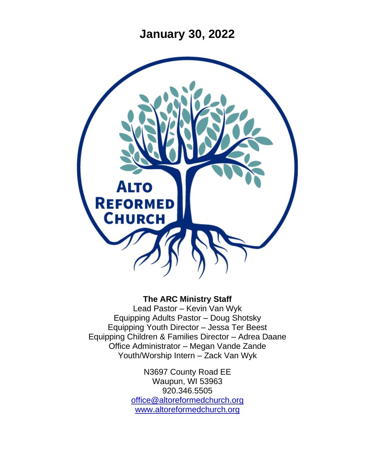**January 30, 2022**



#### **The ARC Ministry Staff**

Lead Pastor – Kevin Van Wyk Equipping Adults Pastor – Doug Shotsky Equipping Youth Director – Jessa Ter Beest Equipping Children & Families Director – Adrea Daane Office Administrator – Megan Vande Zande Youth/Worship Intern – Zack Van Wyk

> N3697 County Road EE Waupun, WI 53963 920.346.5505 [office@altoreformedchurch.org](mailto:office@altoreformedchurch.org) [www.altoreformedchurch.org](http://www.altoreformedchurch.org/)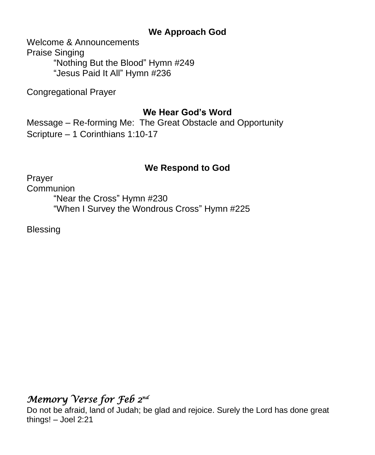### **We Approach God**

Welcome & Announcements Praise Singing "Nothing But the Blood" Hymn #249 "Jesus Paid It All" Hymn #236

Congregational Prayer

### **We Hear God's Word**

Message – Re-forming Me: The Great Obstacle and Opportunity Scripture – 1 Corinthians 1:10-17

## **We Respond to God**

Prayer

**Communion** "Near the Cross" Hymn #230 "When I Survey the Wondrous Cross" Hymn #225

Blessing

# *Memory Verse for Feb 2nd*

Do not be afraid, land of Judah; be glad and rejoice. Surely the Lord has done great things! – Joel 2:21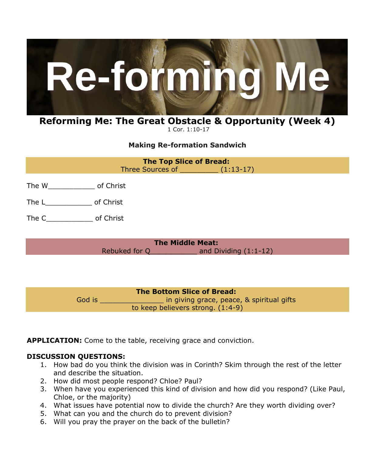

#### **Reforming Me: The Great Obstacle & Opportunity (Week 4)** 1 Cor. 1:10-17

**Making Re-formation Sandwich**

**The Top Slice of Bread:** Three Sources of  $(1:13-17)$ 

- The W\_\_\_\_\_\_\_\_\_\_\_ of Christ
- The L\_\_\_\_\_\_\_\_\_\_\_\_\_\_\_\_\_ of Christ
- The C<sub>capa</sub> of Christ

**The Middle Meat:** Rebuked for Q and Dividing (1:1-12)

**The Bottom Slice of Bread:** God is \_\_\_\_\_\_\_\_\_\_\_\_\_\_\_\_\_\_\_\_\_\_ in giving grace, peace, & spiritual gifts to keep believers strong. (1:4-9)

**APPLICATION:** Come to the table, receiving grace and conviction.

#### **DISCUSSION QUESTIONS:**

- 1. How bad do you think the division was in Corinth? Skim through the rest of the letter and describe the situation.
- 2. How did most people respond? Chloe? Paul?
- 3. When have you experienced this kind of division and how did you respond? (Like Paul, Chloe, or the majority)
- 4. What issues have potential now to divide the church? Are they worth dividing over?
- 5. What can you and the church do to prevent division?
- 6. Will you pray the prayer on the back of the bulletin?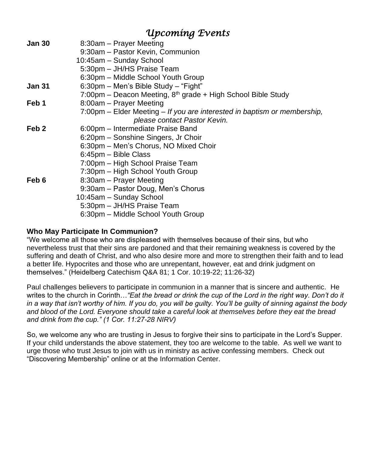## *Upcoming Events*

| Jan 30 | 8:30am - Prayer Meeting                                                  |
|--------|--------------------------------------------------------------------------|
|        |                                                                          |
|        | 9:30am - Pastor Kevin, Communion                                         |
|        | 10:45am - Sunday School                                                  |
|        | 5:30pm - JH/HS Praise Team                                               |
|        | 6:30pm – Middle School Youth Group                                       |
| Jan 31 | 6:30pm - Men's Bible Study - "Fight"                                     |
|        | 7:00pm - Deacon Meeting, 8 <sup>th</sup> grade + High School Bible Study |
| Feb 1  | 8:00am - Prayer Meeting                                                  |
|        | 7:00pm – Elder Meeting – If you are interested in baptism or membership, |
|        | please contact Pastor Kevin.                                             |
| Feb 2  | 6:00pm - Intermediate Praise Band                                        |
|        | 6:20pm – Sonshine Singers, Jr Choir                                      |
|        | 6:30pm - Men's Chorus, NO Mixed Choir                                    |
|        | 6:45pm – Bible Class                                                     |
|        | 7:00pm – High School Praise Team                                         |
|        | 7:30pm – High School Youth Group                                         |
| Feb 6  | 8:30am – Prayer Meeting                                                  |
|        | 9:30am – Pastor Doug, Men's Chorus                                       |
|        | 10:45am - Sunday School                                                  |
|        | 5:30pm – JH/HS Praise Team                                               |
|        | 6:30pm – Middle School Youth Group                                       |
|        |                                                                          |

#### **Who May Participate In Communion?**

"We welcome all those who are displeased with themselves because of their sins, but who nevertheless trust that their sins are pardoned and that their remaining weakness is covered by the suffering and death of Christ, and who also desire more and more to strengthen their faith and to lead a better life. Hypocrites and those who are unrepentant, however, eat and drink judgment on themselves." (Heidelberg Catechism Q&A 81; 1 Cor. 10:19-22; 11:26-32)

Paul challenges believers to participate in communion in a manner that is sincere and authentic. He writes to the church in Corinth…*"Eat the bread or drink the cup of the Lord in the right way. Don't do it in a way that isn't worthy of him. If you do, you will be guilty. You'll be guilty of sinning against the body and blood of the Lord. Everyone should take a careful look at themselves before they eat the bread and drink from the cup." (1 Cor. 11:27-28 NIRV)*

So, we welcome any who are trusting in Jesus to forgive their sins to participate in the Lord's Supper. If your child understands the above statement, they too are welcome to the table. As well we want to urge those who trust Jesus to join with us in ministry as active confessing members. Check out "Discovering Membership" online or at the Information Center.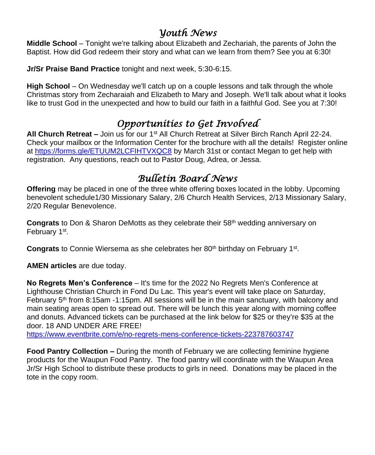## *Youth News*

**Middle School** – Tonight we're talking about Elizabeth and Zechariah, the parents of John the Baptist. How did God redeem their story and what can we learn from them? See you at 6:30!

**Jr/Sr Praise Band Practice** tonight and next week, 5:30-6:15.

**High School** – On Wednesday we'll catch up on a couple lessons and talk through the whole Christmas story from Zecharaiah and Elizabeth to Mary and Joseph. We'll talk about what it looks like to trust God in the unexpected and how to build our faith in a faithful God. See you at 7:30!

# *Opportunities to Get Involved*

**All Church Retreat –** Join us for our 1st All Church Retreat at Silver Birch Ranch April 22-24. Check your mailbox or the Information Center for the brochure with all the details! Register online at<https://forms.gle/ETUUM2LCFIHTVXQC8> by March 31st or contact Megan to get help with registration. Any questions, reach out to Pastor Doug, Adrea, or Jessa.

## *Bulletin Board News*

**Offering** may be placed in one of the three white offering boxes located in the lobby. Upcoming benevolent schedule1/30 Missionary Salary, 2/6 Church Health Services, 2/13 Missionary Salary, 2/20 Regular Benevolence.

**Congrats** to Don & Sharon DeMotts as they celebrate their 58th wedding anniversary on February 1<sup>st</sup>.

Congrats to Connie Wiersema as she celebrates her 80<sup>th</sup> birthday on February 1<sup>st</sup>.

**AMEN articles** are due today.

**No Regrets Men's Conference** – It's time for the 2022 No Regrets Men's Conference at Lighthouse Christian Church in Fond Du Lac. This year's event will take place on Saturday, February  $5<sup>th</sup>$  from 8:15am -1:15pm. All sessions will be in the main sanctuary, with balcony and main seating areas open to spread out. There will be lunch this year along with morning coffee and donuts. Advanced tickets can be purchased at the link below for \$25 or they're \$35 at the door. 18 AND UNDER ARE FREE!

<https://www.eventbrite.com/e/no-regrets-mens-conference-tickets-223787603747>

**Food Pantry Collection –** During the month of February we are collecting feminine hygiene products for the Waupun Food Pantry. The food pantry will coordinate with the Waupun Area Jr/Sr High School to distribute these products to girls in need. Donations may be placed in the tote in the copy room.